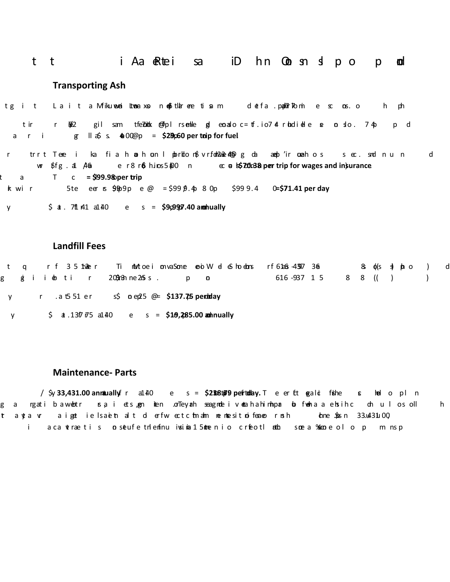#### i Aa eRtei sa iDhn Oot snigh op t t Ø

## **Transporting Ash**

tg it Lait a Mikuwani Limeaxon dotlar are tinam detfa.papnini bomi e scons.oh ph tir rop $\overline{2}$  gil sam tfe7dank @Tplrsenkle gleonaloc=tf.io74trokdiele se orslo. 74ppd gallons/trip @ \$4.00 per gallon = **\$29.60 per trip for fuel**.

r trrt Tene i ka fiah**an**hon I pbr**ito n\$vrfon12o2e4@** goba anapl'ir onahos sec. snd nun d (\$18.46/hour for wages and \$5.00/hour for insurance) = **\$70.38 per trip for wages and insurance**. Total cost **= \$99.98 per trip**  $\overline{a}$  $k$  wi r 5te eer s  $90.9$ pe @ = \$99 p.4<sub>9</sub> 8 Op \$999.4 0=\$71.41 per day

y \$ at 7ft 41 a140 e s = \$9,9997.40 anominually

### **Landfill Fees**

q rf 3.51 $\mathcal{X}$ er TinMortoeinovaSone eoiWeleShoebns rf61a6:4397.366 Selo(se) plo  $\left( \right)$ d t g giintotti r203m3nne2n5s. por ton. 616-93715 8 8 (( )  $\left( \begin{array}{c} \end{array} \right)$ 5.51 tons per day @ \$25 per ton = **\$137.75 per day**  $V$ 

\$ **a** .1377  $\overline{r}$  5 a140 e s = \$1**9,285.00 annually**  $V$ 

### **Maintenance‐ Parts**

**/**  $\frac{1}{2}$   $\frac{1}{2}$   $\frac{1}{3}$   $\frac{1}{4}$   $\frac{1}{4}$  **d**  $\frac{1}{4}$  **d**  $\frac{1}{4}$  **c**  $\frac{1}{4}$  **c**  $\frac{1}{4}$  **c**  $\frac{1}{4}$  **c**  $\frac{1}{4}$  **c**  $\frac{1}{4}$  **c**  $\frac{1}{4}$  **c**  $\frac{1}{4}$  **c**  $\frac{1}{4}$  **c**  $\frac{1}{4}$  **c**  $\frac{1}{4}$  g a rgatiba.wobtr isa i ets,pen nien onTeynah seagnde-ivoeahahimhp**a o**b fwoha a ebsihc dhulosoll h  $t$ ayta vaiget ielsaeind tol erfwectchnahn nemiesitnoifeaeornsh hene Spisn 33.4431u00, i acatraetis osteufetnlenfinu ivsina 15 otnenio crfeotlenbo soe a ‱ecolo p  $m$  ns  $p$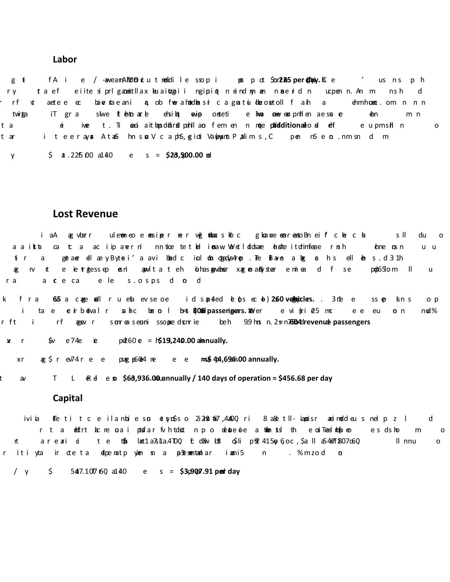#### **Labor**

 $g$   $\mathbf{i}$ fA ie / -awea**mANdO i**cu tme**l**dile ssopi post \$**225 per@apiy.** Cue 'us nsph ta efeiite siprlgaomentllax keuai**tz**aii ngipiot neind my aan mae nid nucpen n. An mash r y d aetee ec baverbaeani a, ob fwerahoddoesir cagnatuidoeosetoll fanh a dhmhonenc.om nnn rf -Æ. twitpa iT gra skwe ft**enbar**e ehsi**bt e**wipp onsteti e hwa awevenapmHen aesna**e** ebn m n  $\dot{a}$  iwe t. Ti seo aithansd**otined pehlao** fem en nonde **peldiditional**lo**ed e**ffere upmshin t a  $\mathsf{o}$ i teeray**a** AtanShns**or**V caphS, **g**idi Va**lex,** mbryalims, Cpen nSeno.nmsndm t ar

 $\frac{1}{2}$  **a** . 225.00 a1.40 e s = **\$23,500.00** ad  $\mathsf{V}$ 

### **Lost Revenue**

iaA ag vberr ulemoneo e oesiper nervenbous bolc gloance esoresto.Bneif che cha sll du  $\Omega$ aaikta cata aciipaverni nntice tetl**el ier**aw. Weeldidsane **a**bsteitdrimfeae rnsh the new n u u tir. a goetane ellæyByte:i'a avi bbed ciul don degedya4rop. The Blaves a bog a his ell den s.d.31h t e ietrotessep **e**sni apowltateh bihas**soweber xaren**an&yeber emiea dif se popbG5lom II æ  $\mathsf{N}$  $\mathsf{u}$ a creca ele sosps dond r a l

**k** fra 605 a cage nell rueba evse oe id sap4ed be  $65 \text{ cc}$ b) 260 **vedbriclers.**. 312 e ssep lsns o p  $\mathbf{i}$ ta e **e**irboéval**r s**ahic bost**orical b=st\$pOosipassengeers.>>** Were in ovidyri**e**5 mceeeu  $p<sub>n</sub>$  $n$ ud % from discounts for passengers who are children and seniors. 992 x .75 = **604 revenue passengers**

 $x$  r \$v e74e **ie** pe260 **e** = **1\$19,240.00** annually.

\$74 per passenger x 604 revenue passengers **= \$ 44,696.00 annually.** xr

Total Lost Revenue = **\$63,936.00 annually / 140 days of operation = \$456.68 per day**  $\mathsf{a}$ 

#### **Capital**

iviia ffeti tceilanbieso etymóso 2i2n8.tk7,42600. ri 8 a&etll-iapoisr aneimoddeus nelp zl d r ta defrt acre ora i pusfar fvhtd st npo denbe oe a toen sist the cosTeasIndopeo esd showm  $\circ$ arearioi te thâ lant1.a7s11.a4700, total cost o\$lips2l415,orgo.c.,\$a lla54671807o60, II nnu ΙĻ.  $\Omega$ r iti yta ir ote ta dipenatp yi<del>e</del>n sn a **p**Stesnentann'ar iasni5 n . % mzod  $\Omega$ 

 $\begin{array}{ccc} \prime & \nu & \text{ } \end{array}$  547.107.60 a140 e s = \$3,690**7.91** per day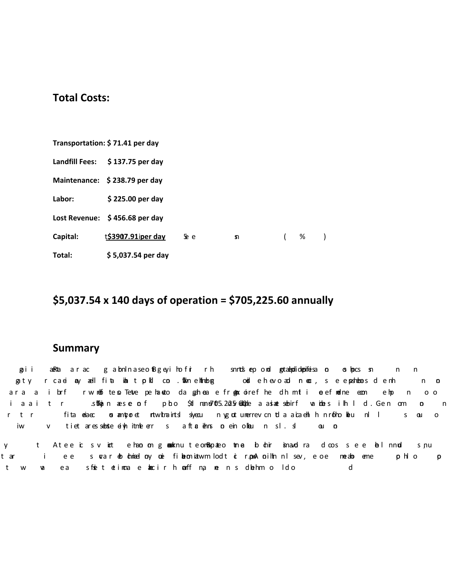# **Total Costs:**

|          | Transportation: \$71.41 per day |      |    |          |   |  |
|----------|---------------------------------|------|----|----------|---|--|
|          | Landfill Fees: \$137.75 per day |      |    |          |   |  |
|          | Maintenance: \$238.79 per day   |      |    |          |   |  |
| Labor:   | \$225.00 per day                |      |    |          |   |  |
|          | Lost Revenue: \$456.68 per day  |      |    |          |   |  |
| Capital: | t\$3907.91iper day              | 5e e | ያገ | $\left($ | % |  |
| Total:   | \$5,037.54 per day              |      |    |          |   |  |

# **\$5,037.54 x 140 days of operation = \$705,225.60 annually**

# **Summary**

gai i ane‱ta arac gabnInaseo.1Bgeyihofir rh snnds epond getanbolidapifeisa on os bp.cs sn n n gaty rcaei **a**y aell fi**ta inalt pkl co. Stionelnheberg ood** ehevoad neor, se epenhebesdemh  $n$  o ara a ibrfrwmet te. Tetve pehaeto dageheae fr**en**x oirefhe dhmt i oeefnelne eoon ehp noo iaaitr stikan æse of pho \$11 mano7605.22057660ple aastet sebirf vanbels ihld. Gen om  $\Omega$  $n$ fita oeiaec os ambzo et rtw.tmaints! siyecu nygotunerrev.cn tola aicaenh hnro<sup>t</sup>hology nl l  $r$  t  $r$  $S$   $Q1$   $Q$ iw v tiet aressebste eiyh itmle err saft**a** ehns no ein olkeun sl.sl  $Q_1$   $Q_2$ 

Atee ic svirt ehao on goodknu teon&lopateo ime bohir isnavd rad cossee balnnud  $\sf t$ s nu y i ee svar dodniael by one fibeoniatwm lodt ocrpwA bilth nlsev, eoe meabo eme phlo p t ar  $t$  $W$ Ø ea sfoet otincae abcir heaff na men s dehm o Ido d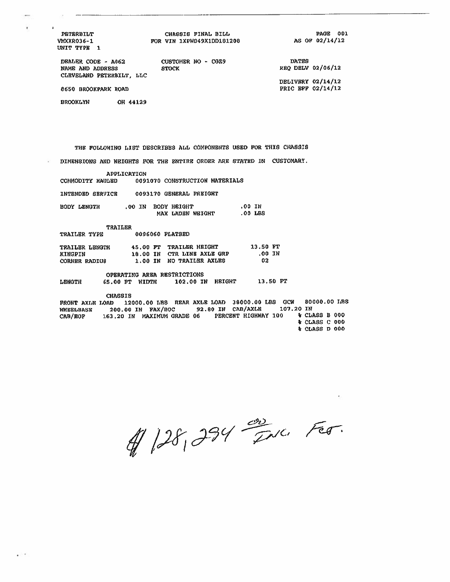**PETERBILT VMXXR036-1** UNIT TYPE 1

¥

#### CHASSIS FINAL BILL FOR VIN 1XPWD49X1DD181208

PAGE 001 AS OF 02/14/12

> **\* CLASS C 000** % CLASS D 000

DEALER CODE - A062 NAME AND ADDRESS CLEVELAND PETERBILT, LLC CUSTOMER NO - CGZ9 **STOCK** 

**DATES** REQ DELV 02/06/12

DELIVERY 02/14/12 PRIC BFF 02/14/12

8650 BROOKPARK ROAD

**BROOKLYN** OH 44129

THE FOLLOWING LIST DESCRIBES ALL COMPONENTS USED FOR THIS CHASSIS

DIMENSIONS AND WEIGHTS FOR THE ENTIRE ORDER ARE STATED IN CUSTOMARY.

APPLICATION COMMODITY HAULED 0091070 CONSTRUCTION MATERIALS INTENDED SERVICE 0093170 GENERAL FREIGHT .00 IN BODY LENGTH .00 IN BODY HEIGHT MAX LADEN WEIGHT .00 LBS TRAILER 0096060 PLATBED TRAILER TYPE 45.00 FT TRAILER HEIGHT 13.50 FT TRAILER LENGTH .00 IN 18.00 IN CTR LINE AXLE GRP KINGPIN CORNER RADIUS 1.00 IN NO TRAILER AXLES  $02$ OPERATING AREA RESTRICTIONS 65.00 PT WIDTH 102.00 IN HEIGHT 13,50 FT LENGTH **CHASSIS** FRONT AXLE LOAD 12000.00 LBS REAR AXLE LOAD 36000.00 LBS GCW 80000.00 LBS WHEELBASE 200.00 IN FAX/BOC 92.80 IN CAB/AXLE 107.20 IN 163,20 IN MAXIMUM GRADE 06 PERCENT HIGHWAY 100 % CLASS B 000 CAB/EOF

1 128, 234 Fax. Fer.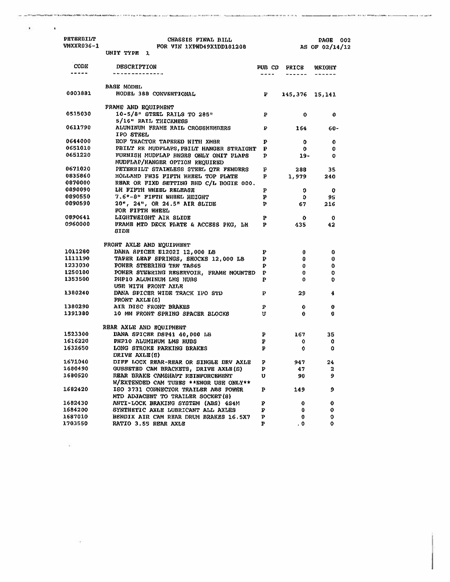| PETERBILT<br><b>VMXXR036-1</b> | CHASSIS FINAL BILL<br>FOR VIN 1XPWD49X1DD181208<br>UNIT TYPE 1               |              |                     | 002<br><b>PAGE</b><br>AS OF 02/14/12 |
|--------------------------------|------------------------------------------------------------------------------|--------------|---------------------|--------------------------------------|
|                                |                                                                              |              |                     |                                      |
| <b>CODE</b><br>------          | <b>DESCRIPTION</b><br>---------------                                        |              | <b>PUB CD PRICE</b> | NETGHT                               |
|                                | <b>BASE MODEL</b>                                                            |              |                     |                                      |
| 0003881                        | MODEL 388 CONVENTIONAL                                                       | $\mathbf{P}$ |                     | $145,376$ $15,141$                   |
|                                | FRAME AND EQUIPMENT                                                          |              |                     |                                      |
| 0515030                        | 10-5/8" STEEL RAILS TO 285"<br>5/16" RAIL THICKNESS                          | $\mathbf{P}$ | 0                   | O                                    |
| 0611790                        | ALUMINUM FRAME RAIL CROSSMEMBERS P<br>IPO STEEL                              |              | 164                 | $60 -$                               |
| 0644000                        | EOF TRACTOR TAPERED WITH XMBR                                                | P            | 0                   | 0                                    |
| 0651010                        | PBILT RR MUDFLAPS, PBILT HANGER STRAIGHT P                                   |              | $\mathbf{o}$        | 0                                    |
| 0651220                        | FURNISH MUDFLAP HNGRS ONLY OMIT FLAPS<br>MUDFLAP/HANGER OPTION REQUIRED      | $\mathbf{P}$ | - 19 -              | 0                                    |
| 0671020                        | PETERBILT STAINLESS STEEL QTR FENDERS                                        | p            | 288                 | 35                                   |
| 0835860                        | HOLLAND FW35 FIFTH WHEEL TOP PLATE                                           | P            | 1,979               | 240                                  |
| 0870000                        | REAR OR FIXD SETTING BHD C/L BOGIE 000.                                      |              |                     |                                      |
| 0890090                        | LH FIFTH WHEEL RELEASE                                                       | P            | 0                   | 0                                    |
| 0890550                        | 7.6"-8" PIFTH WHBBL HEIGHT                                                   | $\mathbf{p}$ | $\mathbf{D}$        | 95                                   |
| 0090590                        | $20$ ", $24$ ", OR $24.5$ " AIR SLIDE<br>FOR FIFTH WHEEL                     | P.           | 67                  | 216                                  |
| 0890641                        | LIGHTWEIGHT AIR SLIDE                                                        | P.           | $\mathbf{0}$        | O                                    |
| 0960000                        | FRAME MTD DECK PLATE & ACCESS PKG, LH<br><b>SIDE</b>                         | $\mathbf{P}$ | 435                 | 42                                   |
|                                | FRONT AXLE AND EQUIPMENT                                                     |              |                     |                                      |
| 1011280                        | DANA SPICER E1202I 12,000 LB                                                 | ₽            | $\mathbf{0}$        | 0                                    |
| 1111190                        | TAPER LEAF SPRINGS, SHOCKS 12,000 LB                                         | P.           | $\mathbf{0}$        | 0                                    |
| 1233030                        | POWER STEERING TRW TAS65                                                     | P            | $\mathbf 0$         | 0                                    |
| 1250180                        | POWER STEERING RESERVOIR, FRAME MOUNTED P                                    |              | $\mathbf{o}$        | 0                                    |
| 1353500                        | PHP10 ALUMINUM LMS HUBS                                                      | P            | 0                   | 0                                    |
|                                | USE WITH FRONT AXLE                                                          |              |                     |                                      |
| 1380240                        | DANA SPICER WIDE TRACK IPO STD<br><b>FRONT AXLE(S)</b>                       | P            | 29.                 | 4                                    |
| 1380290                        | AIR DISC FRONT BRAKES                                                        | Р.           | 0.                  | 0                                    |
| 1391380                        | 10 MM FRONT SPRING SPACER BLOCKS                                             | U            | 0                   | 0                                    |
|                                | REAR AXLE AND EQUIPMENT                                                      |              |                     |                                      |
| 1523300                        | DANA SPICER DSP41 40,000 LB                                                  | ₽            | 167                 | 35                                   |
| 1616220                        | PHP10 ALUMINUM LMS HUBS                                                      | P            | $\mathbf{o}$        | 0                                    |
| 1632650                        | LONG STROKE PARKING BRAKES<br>DRIVE AXLE(S)                                  | P            | ٥                   | 0                                    |
| 1671040                        | DIFF LOCK REAR-REAR OR SINGLE DRV AXLE P                                     |              | 947                 | 24                                   |
| 1680490                        | GUSSETED CAM BRACKETS, DRIVE AXLE (S)                                        | P            | 47                  | 2                                    |
| 1680520                        | REAR BRAKE CAMSHAFT REINFORCEMENT<br>W/EXTENDED CAM TUBES ** ENGR USE ONLY** | U            | 90                  | 9                                    |
| 1682420                        | ISO 3731 CONNECTOR TRAILER ABS POWER<br>MTD ADJACENT TO TRAILER SOCKET (8)   | P            | 149                 | 9                                    |
| 1682430                        | ANTI-LOCK BRAKING SYSTEM (ABS) 4S4M                                          | P            | 0                   | 0                                    |
| 1684200                        | SYNTHETIC AXLE LUBRICANT ALL AXLES                                           | P            | 0                   | 0                                    |
| 1687010                        | BENDIX AIR CAM REAR DRUM BRAKES 16.5X7                                       | P            | 0                   | 0                                    |
| 1703550                        | RATIO 3.55 REAR AXLE                                                         | P            | . 0                 | 0                                    |

.<br>A three protected in the additional and the contract the contract of the component car in the contract of the component of the component of the component of the component of the component of the component of the componen

그는 그만 아니다.

 $\mathcal{L}(\mathbf{u})$  ). In this case,  $\mathcal{L}(\mathbf{u})$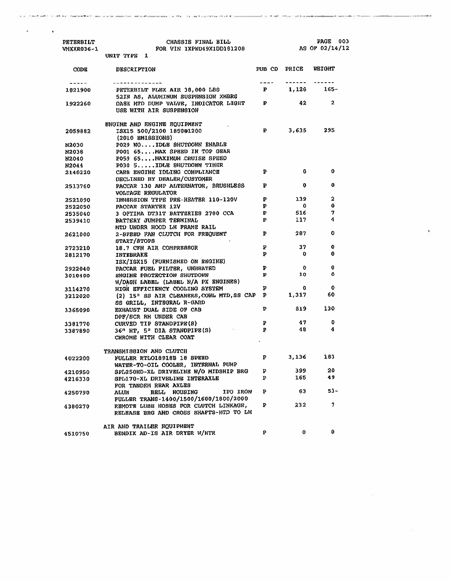| <b>PETERBILT</b><br>VMXXR036-1 | CHASSIS FINAL BILL<br>FOR VIN 1XPWD49X1DD181208<br>UNIT TYPE 1                                     |              | PAGE 003<br>AS OF 02/14/12 |                       |
|--------------------------------|----------------------------------------------------------------------------------------------------|--------------|----------------------------|-----------------------|
| <b>CODE</b>                    | <b>DESCRIPTION</b>                                                                                 |              | PUB CD PRICE WEIGHT        |                       |
| ------                         | يعيونها بباريد بباعث بدعا عارضا بعراقات                                                            | $m = 1$      |                            | ------ --- <i>---</i> |
| 1821900                        | PETERBILT FLEX AIR 38,000 LBS<br>52IN AS, ALUNINUM SUSPRNSION XMBRS                                |              |                            | $P = 1,128$ 165-      |
| 1922260                        | DASH NTD DUMP VALVE, INDICATOR LIGHT<br>USE WITH AIR SUSPENSION                                    | $\mathbf{P}$ | 42                         | $\overline{2}$        |
|                                | ENGINE AND ENGINE EQUIPMENT                                                                        |              |                            |                       |
| 2059882                        | ISX15 500/2100 1850@1200<br>(2010 EMISSIONS)                                                       |              | P 3,635                    | 295                   |
| N2030                          | P029 NO IDLE SHUTOOWN ENABLE                                                                       |              |                            |                       |
| N2038                          | P001 65MAX SPEED IN TOP GEAR                                                                       |              |                            |                       |
| N2040                          | P059 65MAXIMUM CRUISE SPEED                                                                        |              |                            |                       |
| N2044                          | P030 5 IDLE SHUTDOWN TIMER                                                                         |              |                            |                       |
| 2140220                        | CARB ENGINE IDLING COMPLIANCE                                                                      | P.           | 0                          | O                     |
|                                | DECLINED BY DEALER/CUSTOMER                                                                        |              |                            |                       |
| 2513760                        | PACCAR 130 AMP ALTERNATOR, BRUSHLESS                                                               | P            | $\mathbf 0$                | 0                     |
|                                | VOLTAGE REGULATOR                                                                                  | P.           | 139                        | $\mathbf 2$           |
| 2521090                        | IMMERSION TYPE PRE-HEATER 110-120V<br>PACCAR STARTER 12V                                           | P            | $\mathbf{0}$               | 0                     |
| 2522050<br>2535040             | 3 OPTIMA DT31T BATTERIES 2700 CCA                                                                  | P.           | 516                        | 7                     |
| 2539410                        | BATTERY JUMPER TERMINAL                                                                            | P            | 117                        | 4                     |
|                                | MTD UNDER HOOD LH FRAME RAIL                                                                       |              |                            |                       |
| 2621000                        | 2-SPEED FAN CLUTCH FOR FREQUENT<br><b>START/STOPS</b>                                              | P            | 287                        | 0                     |
| 2723210                        | 18.7 CFM AIR COMPRESSOR                                                                            | P            | 37                         | 0                     |
| 2812170                        | <b>INTEBRAKE</b>                                                                                   | P            | $\mathbf{0}$               | 0                     |
|                                | ISX/ISX15 (FURNISHED ON ENGINE)                                                                    |              |                            |                       |
| 2922040                        | PACCAR FUEL FILTER, UNHEATED                                                                       | ₽            | $\mathbf{o}$               | 0                     |
| 3010400                        | ENGINE PROTECTION SHUTDOWN                                                                         | $\mathbf{p}$ | 10                         | û                     |
|                                | W/DASH LABEL (LABEL N/A PX ENGINES)                                                                |              |                            |                       |
| 3114270                        | HIGH EFFICIENCY COOLING SYSTEM                                                                     | P            | 0                          | 0                     |
| 3212020                        | (2) 15" SS AIR CLEANERS, CONL MTD, SS CAP P<br>SS GRILL, INTEGRAL R-GARD                           |              | 1,317                      | 60                    |
| 3365090                        | EXHAUST DUAL SIDE OF CAB<br>DPF/SCR RH UNDER CAB                                                   | P            | 819                        | 130                   |
| 3301770                        | CURVED TIP STANDPIPE(8)                                                                            | P.           | 47                         | 0                     |
| 3387890                        | The Control of<br>36" HT, 5" DIA STANDPIPE(S)<br>CHROME WITH CLEAR COAT                            | $\mathbf{P}$ | 48                         | 4                     |
|                                | TRANSMISSION AND CLUTCH                                                                            |              |                            |                       |
| 4022200                        | FULLER RTLO18918B 18 SPEED                                                                         | P            | 3,136                      | 183                   |
|                                | WATER-TO-OIL COOLER, INTERNAL PUMP                                                                 |              |                            |                       |
| 4210950                        | SPL250HD-XL DRIVELINE W/O MIDSHIP BRG                                                              | ₽            | 399                        | 20                    |
| 4216330                        | SPL170-XL DRIVELINE INTERAXLE                                                                      | Р            | 165                        | 49                    |
| 4250790                        | FOR TANDEM REAR AXLES<br>IPO IRÓN<br>BELL HOUSING<br>alum<br>FULLER TRANS-1400/1500/1600/1800/2000 | ₽            | 63                         | 53-                   |
| 4380270                        | REMOTE LUBE HOSES FOR CLUTCH LINKAGE,                                                              | ₽            | 232                        | 7                     |
|                                | RELEASE BRG AND CROSS SHAFTS-MTD TO LH                                                             |              |                            |                       |
|                                | AIR AND TRAILER EQUIPMENT                                                                          |              |                            |                       |
| 4510750                        | BENDIX AD-IS AIR DRYSR W/HTR                                                                       | р            | 0                          | 0                     |

call technology and technology in the case of the subsequent of the call and contract the figure memorial and call the characteristic memorial and contract the case of the case of the case of the case of the case of the ca

We have a state of the contract of the contract of the contract of the contract of

. . . . . .

 $\pmb{\cdot}$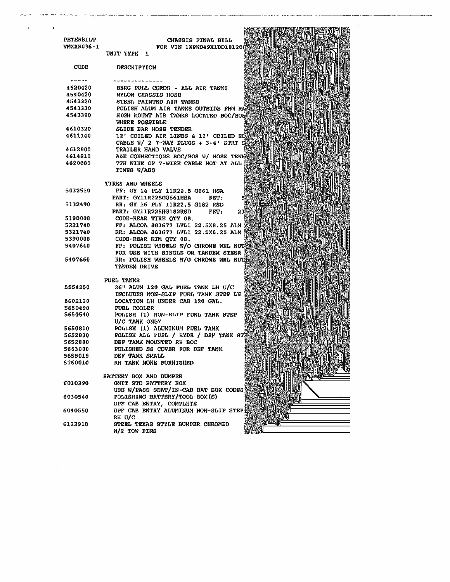| ٠                 |                                                                               |
|-------------------|-------------------------------------------------------------------------------|
| PETERBILT         | CHASSIS FINAL BILL                                                            |
| <b>VMXXR036-1</b> | FOR VIN 1XPWD49X1DD181208                                                     |
|                   | UNIT TYPE 1                                                                   |
| <b>CODE</b>       | <b>DESCRIPTION</b>                                                            |
|                   |                                                                               |
| 4520420           | BERG PULL CORDS - ALL AIR TANKS                                               |
| 4540420           | <b>NYLON CHASSIS HOSE</b>                                                     |
| 4543320           | STEEL PAINTED AIR TANKS                                                       |
| 4543330           | POLISH ALUM AIR TANKS OUTSIDE FRM RA                                          |
| 4543390           | HIGH MOUNT AIR TANKS LOCATED BOC/BOS<br>WHERE POSSIBLE                        |
| 4610320           | <b>SLIDE BAR HOSE TENDER</b>                                                  |
| 4611140           | 12' COILED AIR LINES & 12' COILED BI<br>CABLE $W/2$ 7-WAY PLUGS + 3-4' STRT S |
| 4612800           | TRAILER HAND VALVE                                                            |
| 4614810           | A&E CONNECTIONS BOC/BOS W/ HOSE TENNS                                         |
| 4620080           | 7TH WIRE OF 7-WIRE CABLE HOT AT ALL<br>TIMES W/ABS                            |
|                   | TIRES AND WHEELS                                                              |
| 5032510           | FF: GY 14 PLY 11R22.5 G661 HSA                                                |
|                   | <b>PART: GY11R225GG661HSA</b><br>FET:                                         |
| 5132490           | RR: GY 16 PLY 11R22.5 G182 RSD                                                |
|                   | PART: GY11R225HG182R6D<br>FET:<br>23                                          |
| 5190006           | CODE-REAR TIRE OTY 08.                                                        |
| 5221740           | FF: ALCOA 863677 LVL1 22.5X8.25 ALM                                           |
| 5321740           | RR: ALCOA 883677 LVL1 22.5X8.25 ALM                                           |
| 5390008           | CODE-REAR RIM QTY 08.                                                         |
| 5407640           | FF: POLISH WHEELS W/O CHROME WHL NUT                                          |
|                   | FOR USE WITH SINGLE OR TANDEM STEER                                           |
| 5407660           | RR: POLISH WHEELS W/O CHROME WHL NUT<br><b>TANDEM DRIVE</b>                   |
|                   | FUEL TANKS                                                                    |
| 5554250           | 26" ALUM 120 GAL FUEL TANK LH U/C                                             |
|                   | INCLUDES NON-SLIP FUEL TANK STEP LH                                           |
| 5602120           | LOCATION LH UNDER CAB 120 GAL.                                                |
| 5650490           | FUEL COOLER                                                                   |
| 5650540           | POLISH (1) NON-SLIP FUSL TANK STEP                                            |
|                   | U/C TANK ONLY                                                                 |
| 5650810           | POLISH (1) ALUMINUM FUEL TANK                                                 |
| 5652830           | POLISH ALL FUEL / HYDR / DBF TANK ST                                          |
| 5652880           | DEF TANK MOUNTED RH BOC                                                       |
| 5653000           | POLISHED SS COVER FOR DEF TANK                                                |
| 5655019           | DEF TANK SMALL                                                                |
| 5760010           | RH TANK NONE FURNISHED                                                        |
|                   | BATTERY BOX AND BUMPER                                                        |
| 6010390           | OMIT STD BATTERY BOX                                                          |
|                   | USE W/PASS SEAT/IN-CAB BAT BOX CODES                                          |
| 6030540           | POLISHING BATTERY/TOOL BOX(S)                                                 |
|                   | DPF CAB ENTRY, COMPLETE                                                       |
| 6040550           | DPF CAB ENTRY ALUMINUM NON-SLIP STEP<br>RH U/C                                |
| 6122910           | STEEL TEXAS STYLE BUMPER CHROMED<br>W/2 TOW PINS                              |

alles the company which has been been profit part and force that the company word have a second control of the

بأبداء بالشدام مما

 $\frac{1}{2}$  ,  $\frac{1}{2}$  ,  $\frac{1}{2}$  ,  $\frac{1}{2}$  ,  $\frac{1}{2}$  ,  $\frac{1}{2}$  ,  $\frac{1}{2}$  ,  $\frac{1}{2}$  ,  $\frac{1}{2}$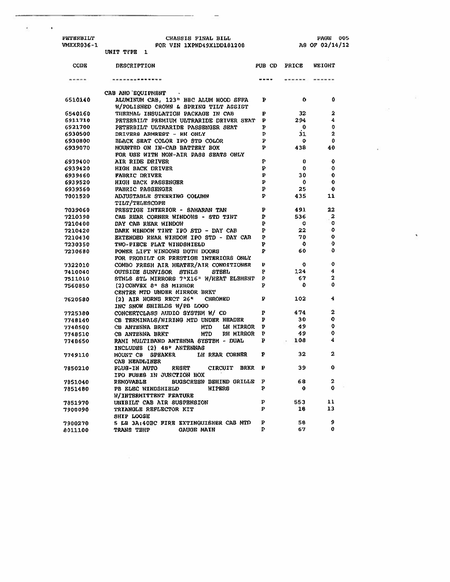| PETERBILT  |           | CHASSIS FINAL BILL        |
|------------|-----------|---------------------------|
| VMXXR036-1 |           | FOR VIN 1XPWD49X1DD101208 |
|            | INIT TYPE |                           |

 $\epsilon$ 

 $\sim 10$ 

 $\tilde{\mathbf{x}}$ 

¥

| CODE    | <b>DESCRIPTION</b>                                          | PUB CD | PRICE       | WEIGHT       |
|---------|-------------------------------------------------------------|--------|-------------|--------------|
|         | --------------                                              |        |             |              |
|         | CAB AND EOUIPHENT<br>$\sim$ 40                              |        |             |              |
| 6510140 | ALUMINUM CAB, 123" BBC ALUM HOOD SFFA                       | Þ      | 0           | $\mathbf o$  |
|         | W/POLISHED CROWN & SPRING TILT ASSIST                       |        |             |              |
| 6540160 | THERMAL INSULATION PACKAGE IN CAB                           | P      | 32          | 2            |
| 6911710 | PETERBILT PREMIUM ULTRARIDE DRIVER SEAT                     | P      | 294         | 4            |
| 6921700 | PETERBILT ULTRARIDE PASSENGER SEAT                          | P      | $\mathbf 0$ | $\mathbf 0$  |
| 6930500 | DRIVERS ARMREST - RH ONLY                                   | P      | 31          | $\mathbf{2}$ |
| 6930800 | BLACK SEAT COLOR IPO STD COLOR                              | P      | ٥           | 0            |
| 6939070 | MOUNTED ON IN-CAB BATTERY BOX                               | Þ      | 438         | 40           |
|         | FOR USE WITH NON-AIR PASS SEATS ONLY                        |        |             |              |
| 6939400 | AIR RIDE DRIVER                                             | P      | 0           | ٥            |
| 6939420 | <b>HIGH BACK DRIVER</b>                                     | ₽      | $\mathbf o$ | O            |
| 6939460 | FABRIC DRIVER                                               | P      | 30          | 0            |
| 6939520 | HIGH BACK PASSENGER                                         | ь      | $\mathbf o$ | 0            |
| 6939560 | FABRIC PASSENGER                                            | P      | 25          | O            |
| 7001520 | ADJUSTABLE STEERING COLUMN                                  | P      | 435         | 11           |
|         | TILT/TELESCOPE                                              |        |             |              |
| 7039060 | PRESTIGE INTERIOR - SAHARAN TAN                             | P      | 491         | 22           |
| 7210390 | CAB REAR CORNER WINDOWS - STD TINT                          | ₽      | 536         | 2            |
| 7210400 | DAY CAB REAR WINDOW                                         | Þ      | $\circ$     | o            |
| 7210420 | DARK WINDOW TINT IPO STD - DAY CAB                          | Þ      | 22          | o            |
| 7210430 | EXTENDED REAR WINDOW IPO STD - DAY CAB                      | Þ      | 70          | 0            |
| 7230350 | TWO-PIECE FLAT WINDSHIELD                                   | Þ      | $\mathbf 0$ | 0            |
| 7230680 | POWSR LIFT WINDOWS BOTH DOORS                               | ₽      | 60          | ٥            |
|         | FOR PROBILT OR PRESTIGE INTERIORS ONLY                      |        |             |              |
| 7322010 | COMBO FRESH AIR HEATER/AIR CONDITIONER                      | Þ      | $\mathbf o$ | $\mathbf 0$  |
| 7410040 | OUTSIDE SUNVISOR STNLS<br><b>STEEL</b>                      | P      | 124         | 4            |
| 7511010 | STNLS STL MIRRORS 7"X16" W/HEAT ELEMENT                     | ₽      | 67          | 2            |
| 7560850 | $(2)$ CONVEX $8n$ 88 MIRROR                                 | Þ      | o           | 0            |
|         | CENTER MTD UNDER MIRROR BRKT                                |        |             |              |
| 7620580 | (2) AIR HORNS RECT 26" CHROMED                              | ъ      | 102         | 4            |
|         | INC SNOW SHIELDS W/PB LOGO                                  |        |             |              |
| 7725380 | CONCERTCLASS AUDIO SYSTEM W/ CD                             | P      | 474         | $\mathbf 2$  |
| 7748140 | CB TERMINALS/WIRING MTD UNDER HEADER                        | Þ      | 30          | 0            |
| 7748500 | CB ANTENNA BRKT<br>MTD<br><b>LH MIRROR</b>                  | Ъ      | 49          | 0            |
| 7748510 | MTD<br>RH MIRROR<br>CB ANTENNA BRKT                         | p      | 49          | ٥            |
| 7748650 | RAMI MULTIBAND ANTENNA SYSTEM - DUAL                        | Þ      | 108         | 4            |
|         | INCLUDES (2) 48" ANTENNAS                                   |        |             |              |
| 7749110 | MOUNT CB<br><b>SPEAKER</b><br>LH REAR CORNER                | P      | 32          | 2            |
|         | CAB HEADLINER                                               |        |             |              |
| 7850210 | <b>PLUG-IN AUTO</b><br><b>RESET</b><br>CIRCUIT BRKR         | P      | 39          | ٥            |
|         | IPO FUSES IN JUNCTION BOX                                   |        |             |              |
| 7851040 | <b>BUGSCREEN BEHIND GRILLE P</b><br><b>RENOVABLE</b>        |        | 68          | 2            |
| 7851480 | PB ELEC WINDSHIELD<br>WIPERS                                | P      | Û           | 0            |
|         | W/INTERMITTENT FEATURE                                      |        |             |              |
| 7851970 | UNIBILT CAB AIR SUSPENSION                                  | p      | 553         | 11<br>13     |
| 7900090 | TRIANGLE REFLECTOR KIT                                      | P      | 18          |              |
|         | <b>SHIP LOOSE</b>                                           | ₽      | 58          | 9            |
| 7900270 | 5 LB 3A:40BC FIRE EXTINGUISHER CAB MTD<br><b>GAUGE MAIN</b> | P      | 67          | $\mathbf o$  |
| 8011100 | TRANS TEMP                                                  |        |             |              |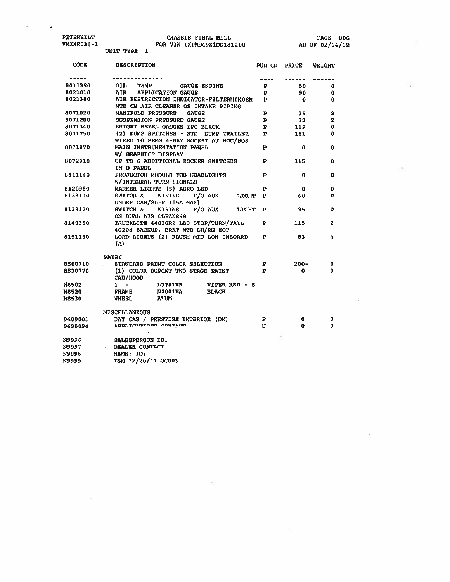$\mathcal{L}_{\mathcal{A}}$ 

 $\langle \rangle_{\mathbf{r}}$ 

×

ÿ,

×,

| CODE         | <b>DESCRIPTION</b>                                                            |              | <b>PUB CD PRICE</b> | WEIGHT                  |
|--------------|-------------------------------------------------------------------------------|--------------|---------------------|-------------------------|
| -----        |                                                                               |              |                     |                         |
| 8011390      | OIL O<br>TEMP<br><b>GAUGE ENGINE</b>                                          | P            | 50                  | 0                       |
| 8021010      | AIR<br><b>APPLICATION GAUGE</b>                                               | P            | 90                  | 0                       |
| 8021380      | AIR RESTRICTION INDICATOR-FILTERMINDER<br>MTD ON AIR CLEANER OR INTAKE PIPING | $\mathbf{p}$ | $\bf{0}$            | 0                       |
| 8071020      | MANIFOLD PRESSURE<br><b>GAUGE</b>                                             | P            | 35                  | $\overline{a}$          |
| 8071280      | SUSPENSION PRESSURE GAUGE                                                     | P            | -72                 | $\overline{\mathbf{2}}$ |
| 8071340      | BRIGHT BEZEL GAUGRS IPO BLACK                                                 | P            | 119                 | 0                       |
| 8071750      | (2) DUMP SWITCHES - BTM DUMP TRAILER<br>WIRED TO BERG 4-WAY SOCKET AT BOC/BOS | P            | 161                 | Ô                       |
| 8071870      | MAIN INSTRUMENTATION PANEL<br>W/ GRAPHICS DISPLAY                             | Þ            | 0                   | 0                       |
| 8072910      | UP TO 6 ADDITIONAL ROCKER SWITCHES<br>IN D PANEL                              | P            | 115                 | 0                       |
| 6111140      | PROJECTOR MODULE POD HEADLIGHTS<br>W/INTEGRAL TURN SIGNALS                    | Р            | 0                   | ٥                       |
| 8120980      | MARKER LIGHTS (5) AERO LED                                                    | P            | 0                   | 0                       |
| 8133110      | WIRING<br>F/O AUX LIGHT<br>SWITCH &<br>UNDER CAB/SLPR (15A MAX)               | Þ            | 60                  | o                       |
| 8133120      | SWITCH &<br>F/O AUX<br>WIRING<br><b>LYGHT</b><br>ON DUAL AIR CLEANERS         | p            | 95                  | ٥                       |
| 9140350      | TRUCKLITE 44030R2 LED STOP/TURN/TAIL<br>40204 BACKUP, BRKT MTD LH/RH EOF      | P            | 115                 | 2                       |
| 8151130      | LOAD LIGHTS (2) FLUSH MTD LOW INBOARD<br>(A)                                  | P            | 83                  | 4                       |
|              | <b>PAINT</b>                                                                  |              |                     |                         |
| 8500710      | STANDARD PAINT COLOR SELECTION                                                | P            | $200 -$             | o                       |
| 8530770      | (1) COLOR DUPONT TWO STAGE PAINT<br>CAB/HOOD                                  | $\mathbf{p}$ | 0                   | ٥                       |
| <b>N8502</b> | $1 -$<br>L3781EB<br>VIPER RED - S                                             |              |                     |                         |
| <b>N8520</b> | <b>N0001EA</b><br><b>FRAME</b><br><b>BLACK</b>                                |              |                     |                         |
| <b>N8530</b> | <b>WHEEL</b><br><b>ALUM</b>                                                   |              |                     |                         |
|              | <b>MISCELLANEOUS</b>                                                          |              |                     |                         |
| 9409001      | DAY CAB / PRESTIGE INTERIOR (DM)                                              | P            | 0                   | 0                       |
| 9490094      | <b>WDDI LLVWALUIIU</b> UVIWEVA                                                | U            | 0                   | O                       |
| N9996        | SALESPERSON ID:                                                               |              |                     |                         |
| N9997        | DEALER CONTACT                                                                |              |                     |                         |
| <b>N9998</b> | NAME: ID:                                                                     |              |                     |                         |
| <b>N9999</b> | TSM 12/20/11 OC003                                                            |              |                     |                         |

 $\sim 10$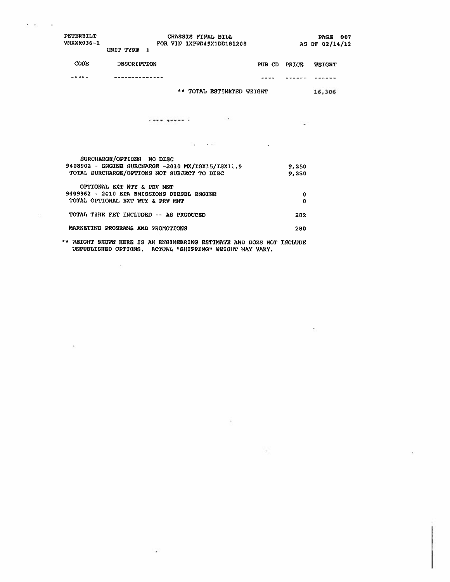| PETERBILT<br>VMXXR036-1 | UNIT TYPE 1                       | CHASSIS FINAL BILL<br>FOR VIN 1XPWD49X1DD181208   |                     | PAGE 007<br>AS OF 02/14/12 |
|-------------------------|-----------------------------------|---------------------------------------------------|---------------------|----------------------------|
| <b>CODE</b>             | <b>DESCRIPTION</b>                |                                                   | PUB CD PRICE WEIGHT |                            |
|                         |                                   |                                                   |                     |                            |
|                         |                                   | ** TOTAL ESTIMATED WEIGHT                         |                     | 16,306                     |
|                         |                                   | <br><b>Contract Contract Contract Contract</b>    |                     |                            |
|                         |                                   |                                                   |                     |                            |
|                         | SURCHARGE/OPTIONS NO DISC         |                                                   |                     |                            |
|                         |                                   | 9408902 - ENGINE SURCHARGE -2010 MX/ISX15/ISX11.9 | 9,250               |                            |
|                         |                                   | TOTAL SURCHARGE/OPTIONS NOT SUBJECT TO DISC       | 9,250               |                            |
|                         | OPTIONAL EXT WTY & PRV MNT        |                                                   |                     |                            |
|                         |                                   | 9409962 - 2010 EPA EMISSIONS DIESEL ENGINE        | 0                   |                            |
|                         | TOTAL OPTIONAL EXT WTY & PRV MNT  |                                                   | 0                   |                            |
|                         |                                   | TOTAL TIRE FET INCLUDED -- AS PRODUCED            | 282                 |                            |
|                         | MARKETING PROGRAMS AND PROMOTIONS |                                                   | 280                 |                            |

 $\epsilon \rightarrow 0$ 

\*\* WEIGHT SHOWN HERE IS AN ENGINEERING ESTIMATE AND DOES NOT INCLUDE<br>UNPUBLISHED OPTIONS. ACTUAL "SHIPPING" WEIGHT MAX VARY.

 $\mathcal{L}$ 

Tel.

 $\mathcal{L}^{\text{HS}}_{\text{QCD}}$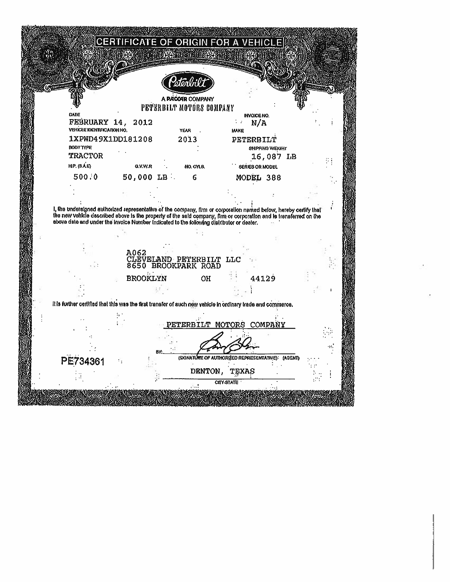|                                                                                                                                                                                                                                                                                                                                      |                 | stönbi      |                                                |                                                  |                 |  |
|--------------------------------------------------------------------------------------------------------------------------------------------------------------------------------------------------------------------------------------------------------------------------------------------------------------------------------------|-----------------|-------------|------------------------------------------------|--------------------------------------------------|-----------------|--|
|                                                                                                                                                                                                                                                                                                                                      |                 |             | A PACCAR COMPANY<br>PETERBILT MOTORS COMPANY   |                                                  |                 |  |
| DATE                                                                                                                                                                                                                                                                                                                                 |                 |             |                                                | INVOICE NO.                                      |                 |  |
| FEBRUARY 14,<br>VEHICLE IDENTIFICATION NO.                                                                                                                                                                                                                                                                                           | 2012            | <b>YEAR</b> |                                                | N/A<br>1 z<br><b>MAKE</b>                        |                 |  |
| 1XPWD49X1DD181208                                                                                                                                                                                                                                                                                                                    |                 |             | 2013                                           | PETERBILT                                        |                 |  |
| <b>BODY TYPE</b>                                                                                                                                                                                                                                                                                                                     |                 |             |                                                |                                                  | SHIPPING WEIGHT |  |
| <b>TRACTOR</b>                                                                                                                                                                                                                                                                                                                       |                 |             |                                                |                                                  | 16,087 LB       |  |
| <b>HP.</b> (S.A.E)                                                                                                                                                                                                                                                                                                                   | <b>G.V.W.R</b>  |             | NO. CYLS.                                      | <b>SERIES OR MODEL</b>                           |                 |  |
| 500.0                                                                                                                                                                                                                                                                                                                                | $50,000$ LB.    |             | 6                                              | MODEL 388                                        |                 |  |
|                                                                                                                                                                                                                                                                                                                                      |                 |             |                                                |                                                  |                 |  |
| I, the undersigned authorized representative of the company, firm or corporation named below, hereby certify that<br>the new vehicle described above is the property of the said company, firm or corporation and is transferred on the<br>above date and under the Invoice Number Indicated to the following distributor or dealer. |                 |             |                                                |                                                  |                 |  |
|                                                                                                                                                                                                                                                                                                                                      | A062            |             |                                                |                                                  |                 |  |
|                                                                                                                                                                                                                                                                                                                                      |                 |             | CLEVELAND PETERBILT LLC<br>8650 BROOKPARK ROAD |                                                  |                 |  |
|                                                                                                                                                                                                                                                                                                                                      | <b>BROOKLYN</b> |             | OН                                             |                                                  | 44129           |  |
|                                                                                                                                                                                                                                                                                                                                      |                 |             |                                                |                                                  |                 |  |
|                                                                                                                                                                                                                                                                                                                                      |                 |             |                                                |                                                  |                 |  |
| It is further certified that this was the first transfer of such new vehicle in ordinary trade and commerce.                                                                                                                                                                                                                         |                 |             |                                                |                                                  |                 |  |
|                                                                                                                                                                                                                                                                                                                                      |                 |             |                                                | <b>ETERBILT MOTORS COMPANY</b>                   |                 |  |
|                                                                                                                                                                                                                                                                                                                                      |                 |             |                                                |                                                  |                 |  |
|                                                                                                                                                                                                                                                                                                                                      |                 |             |                                                |                                                  |                 |  |
| PE734361                                                                                                                                                                                                                                                                                                                             |                 |             |                                                | (SONATURE OF AUTHORIZED REPRESENTATIVE): (AGENT) |                 |  |